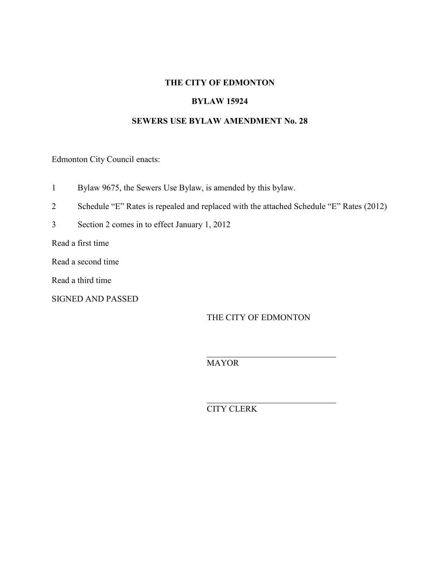### **THE CITY OF EDMONTON**

### **BYLAW 15924**

### **SEWERS USE BYLAW AMENDMENT No. 28**

Edmonton City Council enacts:

- 1 Bylaw 9675, the Sewers Use Bylaw, is amended by this bylaw.
- 2 Schedule "E" Rates is repealed and replaced with the attached Schedule "E" Rates (2012)
- 3 Section 2 comes in to effect January 1, 2012

Read a first time

Read a second time

Read a third time

SIGNED AND PASSED

THE CITY OF EDMONTON

MAYOR

 $\overline{a}$ 

 $\overline{a}$ 

CITY CLERK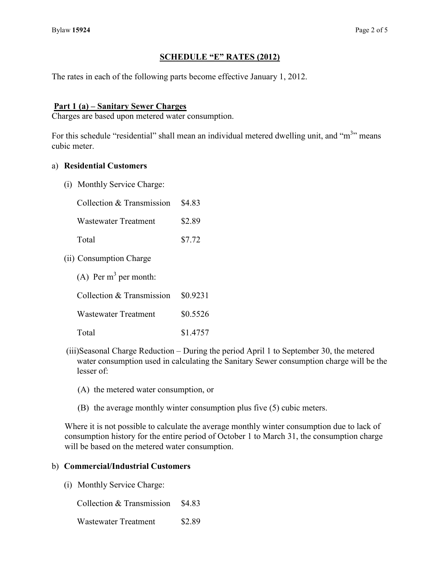## **SCHEDULE "E" RATES (2012)**

The rates in each of the following parts become effective January 1, 2012.

### **Part 1 (a) – Sanitary Sewer Charges**

Charges are based upon metered water consumption.

For this schedule "residential" shall mean an individual metered dwelling unit, and "m<sup>3</sup>" means cubic meter.

### a) **Residential Customers**

(i) Monthly Service Charge:

| Collection & Transmission \$4.83 |        |
|----------------------------------|--------|
| Wastewater Treatment             | \$2.89 |
| Total                            | \$7.72 |

(ii) Consumption Charge

| (A) Per $m^3$ per month:              |          |  |  |  |  |
|---------------------------------------|----------|--|--|--|--|
| Collection $&$ Transmission $$0.9231$ |          |  |  |  |  |
| <b>Wastewater Treatment</b>           | \$0.5526 |  |  |  |  |
| Total                                 | \$1.4757 |  |  |  |  |

- (iii)Seasonal Charge Reduction During the period April 1 to September 30, the metered water consumption used in calculating the Sanitary Sewer consumption charge will be the lesser of:
	- (A) the metered water consumption, or
	- (B) the average monthly winter consumption plus five (5) cubic meters.

Where it is not possible to calculate the average monthly winter consumption due to lack of consumption history for the entire period of October 1 to March 31, the consumption charge will be based on the metered water consumption.

### b) **Commercial/Industrial Customers**

(i) Monthly Service Charge:

Collection & Transmission \$4.83

Wastewater Treatment \$2.89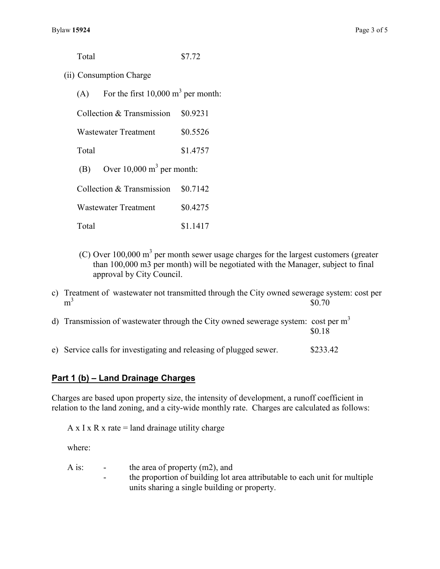Total \$7.72

- 
- (ii) Consumption Charge
	- (A) For the first  $10,000 \text{ m}^3$  per month:

| Collection & Transmission | \$0.9231 |
|---------------------------|----------|
|---------------------------|----------|

Wastewater Treatment \$0.5526

Total \$1.4757

(B) Over  $10,000 \text{ m}^3$  per month:

Collection  $&$  Transmission  $$0.7142$ 

Wastewater Treatment \$0.4275

- Total \$1.1417
- $(C)$  Over 100,000 m<sup>3</sup> per month sewer usage charges for the largest customers (greater than 100,000 m3 per month) will be negotiated with the Manager, subject to final approval by City Council.
- c) Treatment of wastewater not transmitted through the City owned sewerage system: cost per  $m<sup>3</sup>$  $\frac{3}{50.70}$
- d) Transmission of wastewater through the City owned sewerage system: cost per  $m<sup>3</sup>$ \$0.18
- e) Service calls for investigating and releasing of plugged sewer. \$233.42

## **Part 1 (b) – Land Drainage Charges**

Charges are based upon property size, the intensity of development, a runoff coefficient in relation to the land zoning, and a city-wide monthly rate. Charges are calculated as follows:

A x I x R x rate  $=$  land drainage utility charge

where:

| A is: | $\sim$ $\sim$ | the area of property $(m2)$ , and                                          |
|-------|---------------|----------------------------------------------------------------------------|
|       | $\sim$        | the proportion of building lot area attributable to each unit for multiple |
|       |               | units sharing a single building or property.                               |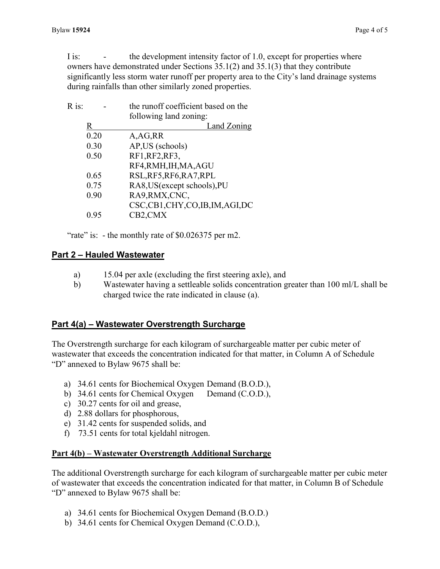I is: - the development intensity factor of 1.0, except for properties where owners have demonstrated under Sections 35.1(2) and 35.1(3) that they contribute significantly less storm water runoff per property area to the City's land drainage systems during rainfalls than other similarly zoned properties.

|      | the runoff coefficient based on the |
|------|-------------------------------------|
|      | following land zoning:              |
| R    | Land Zoning                         |
| 0.20 | A, AG, RR                           |
| 0.30 | AP, US (schools)                    |
| 0.50 | RF1, RF2, RF3,                      |
|      | RF4, RMH, IH, MA, AGU               |
| 0.65 | RSL, RF5, RF6, RA7, RPL             |
| 0.75 | RA8, US (except schools), PU        |
| 0.90 | RA9, RMX, CNC,                      |
|      | CSC,CB1,CHY,CO,IB,IM,AGI,DC         |
| 0.95 | CB2,CMX                             |
|      |                                     |

"rate" is: - the monthly rate of \$0.026375 per m2.

## **Part 2 – Hauled Wastewater**

- a) 15.04 per axle (excluding the first steering axle), and
- b) Wastewater having a settleable solids concentration greater than 100 ml/L shall be charged twice the rate indicated in clause (a).

## **Part 4(a) – Wastewater Overstrength Surcharge**

The Overstrength surcharge for each kilogram of surchargeable matter per cubic meter of wastewater that exceeds the concentration indicated for that matter, in Column A of Schedule "D" annexed to Bylaw 9675 shall be:

- a) 34.61 cents for Biochemical Oxygen Demand (B.O.D.),
- b) 34.61 cents for Chemical Oxygen Demand (C.O.D.),
- c) 30.27 cents for oil and grease,
- d) 2.88 dollars for phosphorous,
- e) 31.42 cents for suspended solids, and
- f) 73.51 cents for total kjeldahl nitrogen.

## **Part 4(b) – Wastewater Overstrength Additional Surcharge**

The additional Overstrength surcharge for each kilogram of surchargeable matter per cubic meter of wastewater that exceeds the concentration indicated for that matter, in Column B of Schedule "D" annexed to Bylaw 9675 shall be:

- a) 34.61 cents for Biochemical Oxygen Demand (B.O.D.)
- b) 34.61 cents for Chemical Oxygen Demand (C.O.D.),